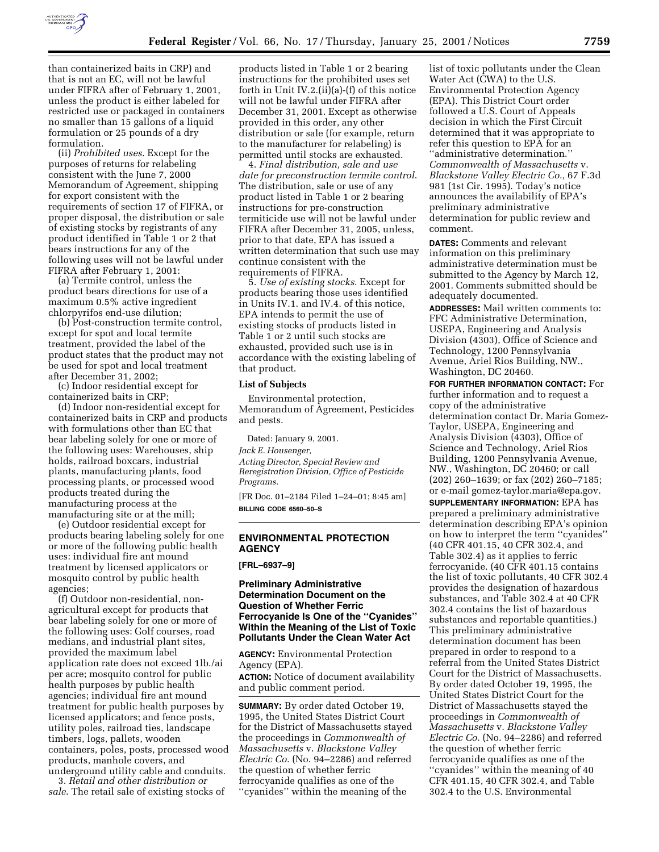

than containerized baits in CRP) and that is not an EC, will not be lawful under FIFRA after of February 1, 2001, unless the product is either labeled for restricted use or packaged in containers no smaller than 15 gallons of a liquid formulation or 25 pounds of a dry formulation.

(ii) *Prohibited uses*. Except for the purposes of returns for relabeling consistent with the June 7, 2000 Memorandum of Agreement, shipping for export consistent with the requirements of section 17 of FIFRA, or proper disposal, the distribution or sale of existing stocks by registrants of any product identified in Table 1 or 2 that bears instructions for any of the following uses will not be lawful under FIFRA after February 1, 2001:

(a) Termite control, unless the product bears directions for use of a maximum 0.5% active ingredient chlorpyrifos end-use dilution;

(b) Post-construction termite control, except for spot and local termite treatment, provided the label of the product states that the product may not be used for spot and local treatment after December 31, 2002;

(c) Indoor residential except for containerized baits in CRP;

(d) Indoor non-residential except for containerized baits in CRP and products with formulations other than EC that bear labeling solely for one or more of the following uses: Warehouses, ship holds, railroad boxcars, industrial plants, manufacturing plants, food processing plants, or processed wood products treated during the manufacturing process at the manufacturing site or at the mill;

(e) Outdoor residential except for products bearing labeling solely for one or more of the following public health uses: individual fire ant mound treatment by licensed applicators or mosquito control by public health agencies;

(f) Outdoor non-residential, nonagricultural except for products that bear labeling solely for one or more of the following uses: Golf courses, road medians, and industrial plant sites, provided the maximum label application rate does not exceed 1lb./ai per acre; mosquito control for public health purposes by public health agencies; individual fire ant mound treatment for public health purposes by licensed applicators; and fence posts, utility poles, railroad ties, landscape timbers, logs, pallets, wooden containers, poles, posts, processed wood products, manhole covers, and underground utility cable and conduits.

3. *Retail and other distribution or sale*. The retail sale of existing stocks of

products listed in Table 1 or 2 bearing instructions for the prohibited uses set forth in Unit IV.2.(ii)(a)-(f) of this notice will not be lawful under FIFRA after December 31, 2001. Except as otherwise provided in this order, any other distribution or sale (for example, return to the manufacturer for relabeling) is permitted until stocks are exhausted.

4. *Final distribution, sale and use date for preconstruction termite control*. The distribution, sale or use of any product listed in Table 1 or 2 bearing instructions for pre-construction termiticide use will not be lawful under FIFRA after December 31, 2005, unless, prior to that date, EPA has issued a written determination that such use may continue consistent with the requirements of FIFRA.

5. *Use of existing stocks*. Except for products bearing those uses identified in Units IV.1. and IV.4. of this notice, EPA intends to permit the use of existing stocks of products listed in Table 1 or 2 until such stocks are exhausted, provided such use is in accordance with the existing labeling of that product.

#### **List of Subjects**

Environmental protection, Memorandum of Agreement, Pesticides and pests.

Dated: January 9, 2001.

*Jack E. Housenger,*

*Acting Director, Special Review and Reregistration Division, Office of Pesticide Programs.*

[FR Doc. 01–2184 Filed 1–24–01; 8:45 am] **BILLING CODE 6560–50–S**

# **ENVIRONMENTAL PROTECTION AGENCY**

**[FRL–6937–9]**

## **Preliminary Administrative Determination Document on the Question of Whether Ferric Ferrocyanide Is One of the ''Cyanides'' Within the Meaning of the List of Toxic Pollutants Under the Clean Water Act**

**AGENCY:** Environmental Protection Agency (EPA).

**ACTION:** Notice of document availability and public comment period.

**SUMMARY:** By order dated October 19, 1995, the United States District Court for the District of Massachusetts stayed the proceedings in *Commonwealth of Massachusetts* v. *Blackstone Valley Electric Co.* (No. 94–2286) and referred the question of whether ferric ferrocyanide qualifies as one of the ''cyanides'' within the meaning of the

list of toxic pollutants under the Clean Water Act (CWA) to the U.S. Environmental Protection Agency (EPA). This District Court order followed a U.S. Court of Appeals decision in which the First Circuit determined that it was appropriate to refer this question to EPA for an ''administrative determination.'' *Commonwealth of Massachusetts* v. *Blackstone Valley Electric Co.,* 67 F.3d 981 (1st Cir. 1995). Today's notice announces the availability of EPA's preliminary administrative determination for public review and comment.

**DATES:** Comments and relevant information on this preliminary administrative determination must be submitted to the Agency by March 12, 2001. Comments submitted should be adequately documented.

**ADDRESSES:** Mail written comments to: FFC Administrative Determination, USEPA, Engineering and Analysis Division (4303), Office of Science and Technology, 1200 Pennsylvania Avenue, Ariel Rios Building, NW., Washington, DC 20460.

**FOR FURTHER INFORMATION CONTACT:** For further information and to request a copy of the administrative determination contact Dr. Maria Gomez-Taylor, USEPA, Engineering and Analysis Division (4303), Office of Science and Technology, Ariel Rios Building, 1200 Pennsylvania Avenue, NW., Washington, DC 20460; or call (202) 260–1639; or fax (202) 260–7185; or e-mail gomez-taylor.maria@epa.gov.

**SUPPLEMENTARY INFORMATION:** EPA has prepared a preliminary administrative determination describing EPA's opinion on how to interpret the term ''cyanides'' (40 CFR 401.15, 40 CFR 302.4, and Table 302.4) as it applies to ferric ferrocyanide. (40 CFR 401.15 contains the list of toxic pollutants, 40 CFR 302.4 provides the designation of hazardous substances, and Table 302.4 at 40 CFR 302.4 contains the list of hazardous substances and reportable quantities.) This preliminary administrative determination document has been prepared in order to respond to a referral from the United States District Court for the District of Massachusetts. By order dated October 19, 1995, the United States District Court for the District of Massachusetts stayed the proceedings in *Commonwealth of Massachusetts* v. *Blackstone Valley Electric Co.* (No. 94–2286) and referred the question of whether ferric ferrocyanide qualifies as one of the ''cyanides'' within the meaning of 40 CFR 401.15, 40 CFR 302.4, and Table 302.4 to the U.S. Environmental